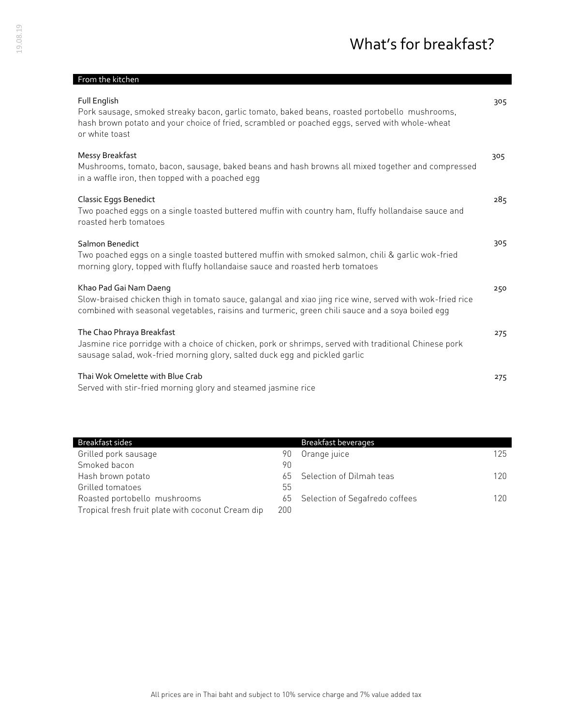| From the kitchen                                                                                                                                                                                                                       |     |
|----------------------------------------------------------------------------------------------------------------------------------------------------------------------------------------------------------------------------------------|-----|
| Full English<br>Pork sausage, smoked streaky bacon, garlic tomato, baked beans, roasted portobello mushrooms,<br>hash brown potato and your choice of fried, scrambled or poached eggs, served with whole-wheat<br>or white toast      | 305 |
| Messy Breakfast<br>Mushrooms, tomato, bacon, sausage, baked beans and hash browns all mixed together and compressed<br>in a waffle iron, then topped with a poached egg                                                                | 305 |
| Classic Eggs Benedict<br>Two poached eggs on a single toasted buttered muffin with country ham, fluffy hollandaise sauce and<br>roasted herb tomatoes                                                                                  | 285 |
| Salmon Benedict<br>Two poached eggs on a single toasted buttered muffin with smoked salmon, chili & garlic wok-fried<br>morning glory, topped with fluffy hollandaise sauce and roasted herb tomatoes                                  | 305 |
| Khao Pad Gai Nam Daeng<br>Slow-braised chicken thigh in tomato sauce, galangal and xiao jing rice wine, served with wok-fried rice<br>combined with seasonal vegetables, raisins and turmeric, green chili sauce and a soya boiled egg | 250 |
| The Chao Phraya Breakfast<br>Jasmine rice porridge with a choice of chicken, pork or shrimps, served with traditional Chinese pork<br>sausage salad, wok-fried morning glory, salted duck egg and pickled garlic                       | 275 |
| Thai Wok Omelette with Blue Crab<br>Served with stir-fried morning glory and steamed jasmine rice                                                                                                                                      | 275 |

| Breakfast sides                                   |     | <b>Breakfast beverages</b>        |     |
|---------------------------------------------------|-----|-----------------------------------|-----|
| Grilled pork sausage                              | 90. | Orange juice                      | 125 |
| Smoked bacon                                      | 90  |                                   |     |
| Hash brown potato                                 |     | 65 Selection of Dilmah teas       | 120 |
| Grilled tomatoes                                  | 55  |                                   |     |
| Roasted portobello mushrooms                      |     | 65 Selection of Segafredo coffees | 120 |
| Tropical fresh fruit plate with coconut Cream dip | 200 |                                   |     |